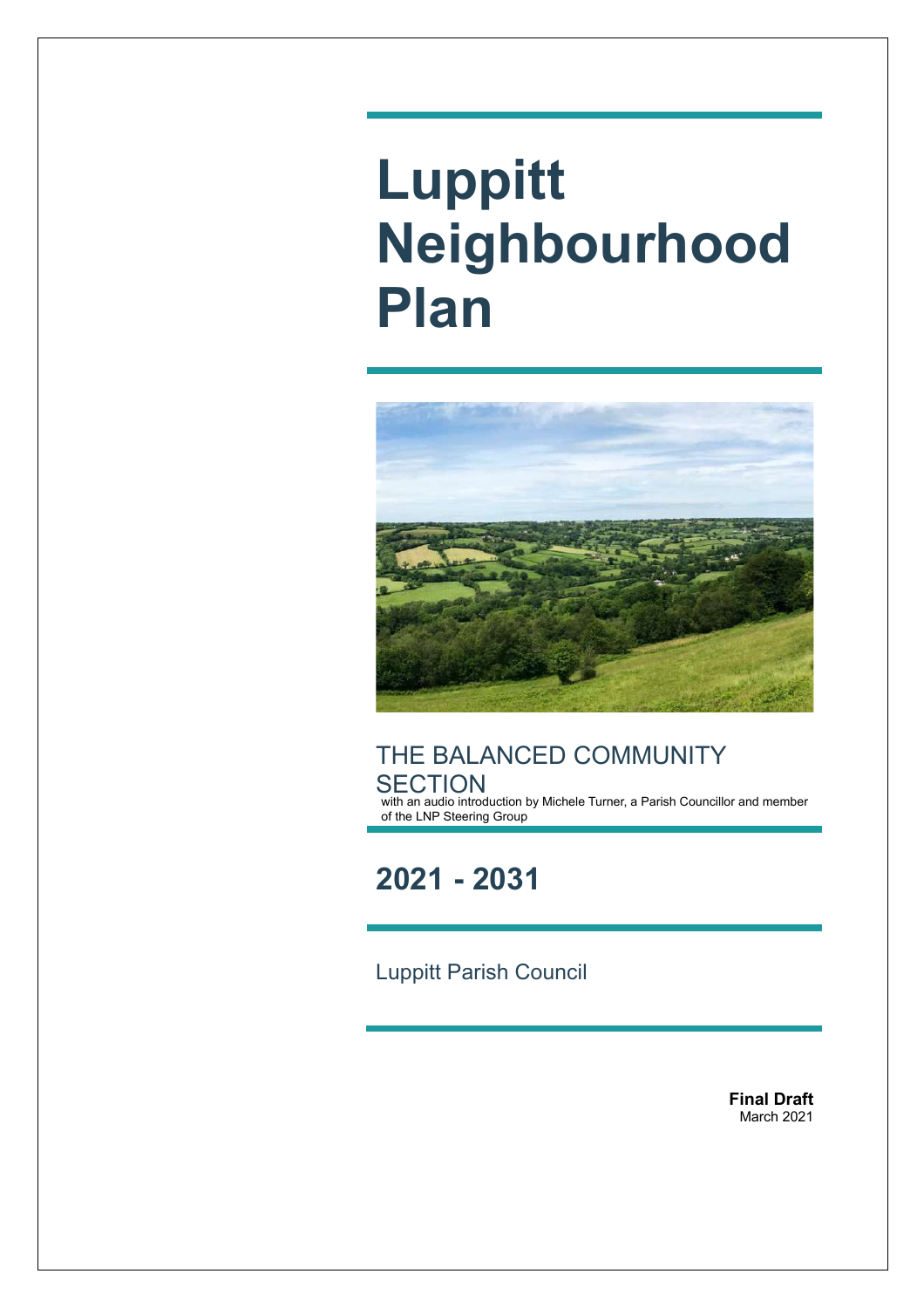# **Luppitt Neighbourhood Plan**



THE BALANCED COMMUNITY **SECTION** with an audio introduction by Michele Turner, a Parish Councillor and member of the LNP Steering Group

**2021 - 2031**

Luppitt Parish Council

**Final Draft** March 2021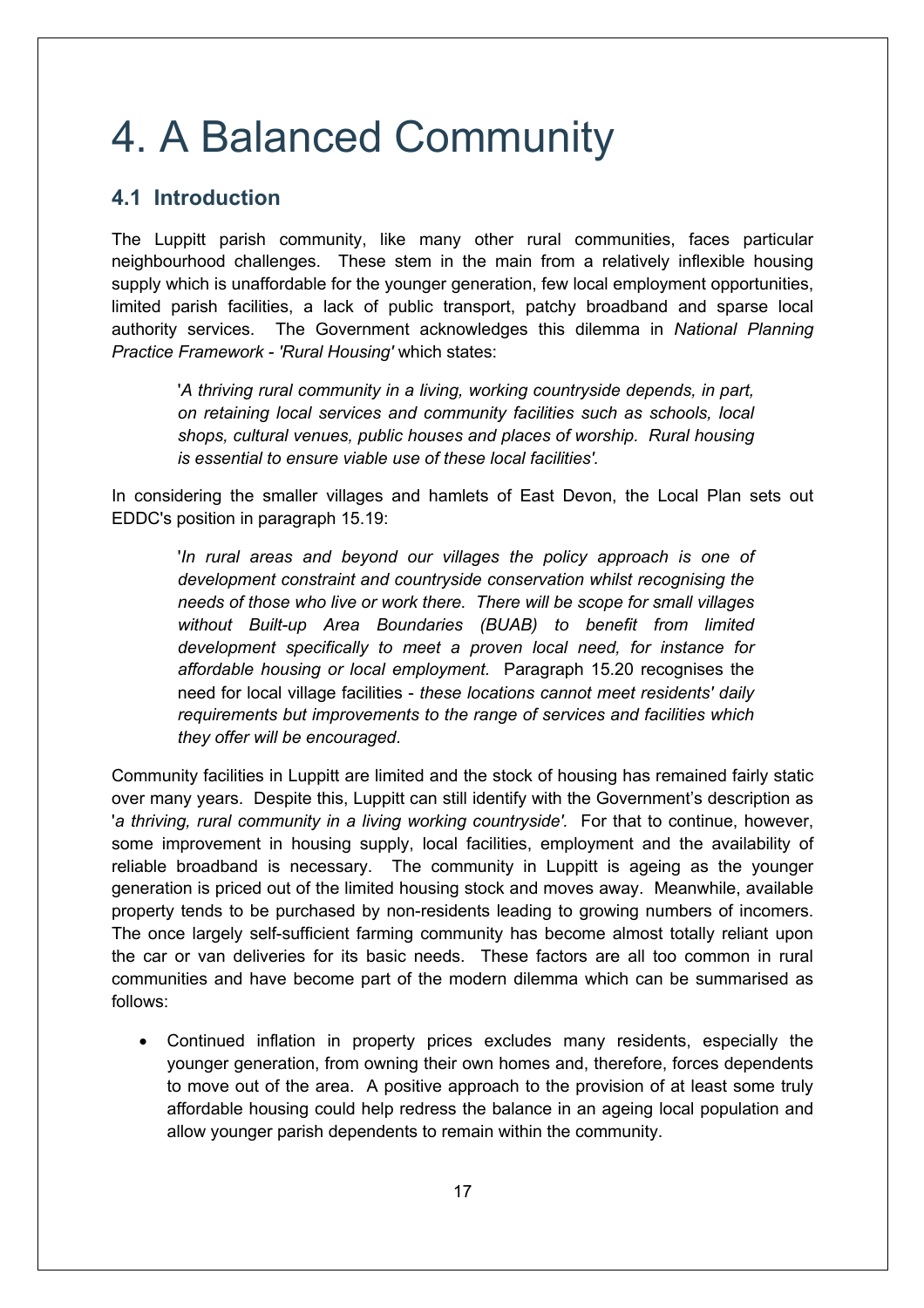## 4. A Balanced Community

#### **4.1 Introduction**

The Luppitt parish community, like many other rural communities, faces particular neighbourhood challenges. These stem in the main from a relatively inflexible housing supply which is unaffordable for the younger generation, few local employment opportunities, limited parish facilities, a lack of public transport, patchy broadband and sparse local authority services. The Government acknowledges this dilemma in *National Planning Practice Framework - 'Rural Housing'* which states:

'*A thriving rural community in a living, working countryside depends, in part, on retaining local services and community facilities such as schools, local shops, cultural venues, public houses and places of worship. Rural housing is essential to ensure viable use of these local facilities'.*

In considering the smaller villages and hamlets of East Devon, the Local Plan sets out EDDC's position in paragraph 15.19:

'*In rural areas and beyond our villages the policy approach is one of development constraint and countryside conservation whilst recognising the needs of those who live or work there. There will be scope for small villages without Built-up Area Boundaries (BUAB) to benefit from limited development specifically to meet a proven local need, for instance for affordable housing or local employment.* Paragraph 15.20 recognises the need for local village facilities - *these locations cannot meet residents' daily requirements but improvements to the range of services and facilities which they offer will be encouraged*.

Community facilities in Luppitt are limited and the stock of housing has remained fairly static over many years. Despite this, Luppitt can still identify with the Government's description as 'a thriving, rural community in a living working countryside'. For that to continue, however, some improvement in housing supply, local facilities, employment and the availability of reliable broadband is necessary. The community in Luppitt is ageing as the younger generation is priced out of the limited housing stock and moves away. Meanwhile, available property tends to be purchased by non-residents leading to growing numbers of incomers. The once largely self-sufficient farming community has become almost totally reliant upon the car or van deliveries for its basic needs. These factors are all too common in rural communities and have become part of the modern dilemma which can be summarised as follows:

• Continued inflation in property prices excludes many residents, especially the younger generation, from owning their own homes and, therefore, forces dependents to move out of the area. A positive approach to the provision of at least some truly affordable housing could help redress the balance in an ageing local population and allow younger parish dependents to remain within the community.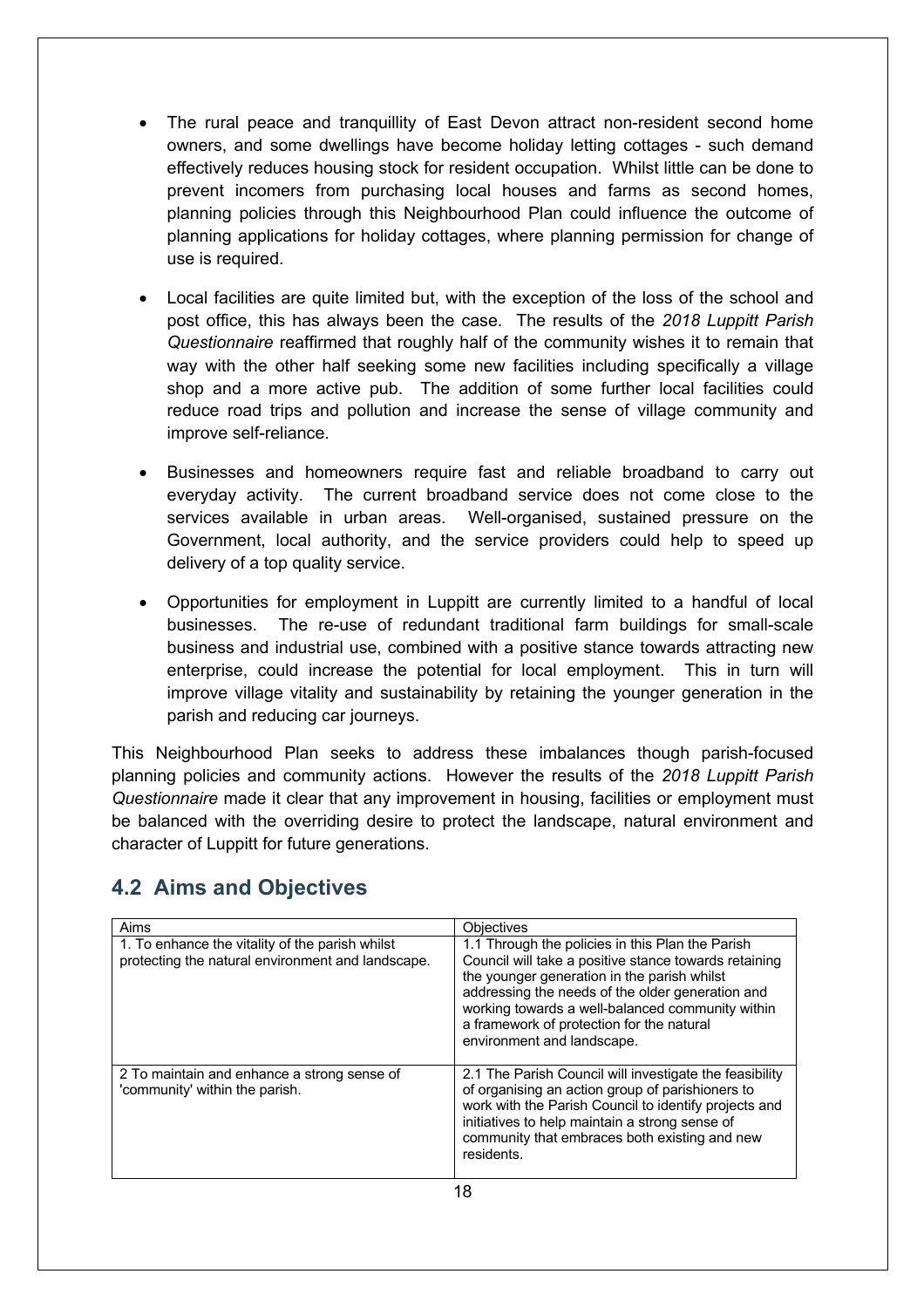- The rural peace and tranquillity of East Devon attract non-resident second home owners, and some dwellings have become holiday letting cottages - such demand effectively reduces housing stock for resident occupation. Whilst little can be done to prevent incomers from purchasing local houses and farms as second homes, planning policies through this Neighbourhood Plan could influence the outcome of planning applications for holiday cottages, where planning permission for change of use is required.
- Local facilities are quite limited but, with the exception of the loss of the school and post office, this has always been the case. The results of the *2018 Luppitt Parish Questionnaire* reaffirmed that roughly half of the community wishes it to remain that way with the other half seeking some new facilities including specifically a village shop and a more active pub. The addition of some further local facilities could reduce road trips and pollution and increase the sense of village community and improve self-reliance.
- Businesses and homeowners require fast and reliable broadband to carry out everyday activity. The current broadband service does not come close to the services available in urban areas. Well-organised, sustained pressure on the Government, local authority, and the service providers could help to speed up delivery of a top quality service.
- Opportunities for employment in Luppitt are currently limited to a handful of local businesses. The re-use of redundant traditional farm buildings for small-scale business and industrial use, combined with a positive stance towards attracting new enterprise, could increase the potential for local employment. This in turn will improve village vitality and sustainability by retaining the younger generation in the parish and reducing car journeys.

This Neighbourhood Plan seeks to address these imbalances though parish-focused planning policies and community actions. However the results of the *2018 Luppitt Parish Questionnaire* made it clear that any improvement in housing, facilities or employment must be balanced with the overriding desire to protect the landscape, natural environment and character of Luppitt for future generations.

| Aims                                                                                                 | Objectives                                                                                                                                                                                                                                                                                                                                  |
|------------------------------------------------------------------------------------------------------|---------------------------------------------------------------------------------------------------------------------------------------------------------------------------------------------------------------------------------------------------------------------------------------------------------------------------------------------|
| 1. To enhance the vitality of the parish whilst<br>protecting the natural environment and landscape. | 1.1 Through the policies in this Plan the Parish<br>Council will take a positive stance towards retaining<br>the younger generation in the parish whilst<br>addressing the needs of the older generation and<br>working towards a well-balanced community within<br>a framework of protection for the natural<br>environment and landscape. |
| 2 To maintain and enhance a strong sense of<br>'community' within the parish.                        | 2.1 The Parish Council will investigate the feasibility<br>of organising an action group of parishioners to<br>work with the Parish Council to identify projects and<br>initiatives to help maintain a strong sense of<br>community that embraces both existing and new<br>residents.                                                       |

### **4.2 Aims and Objectives**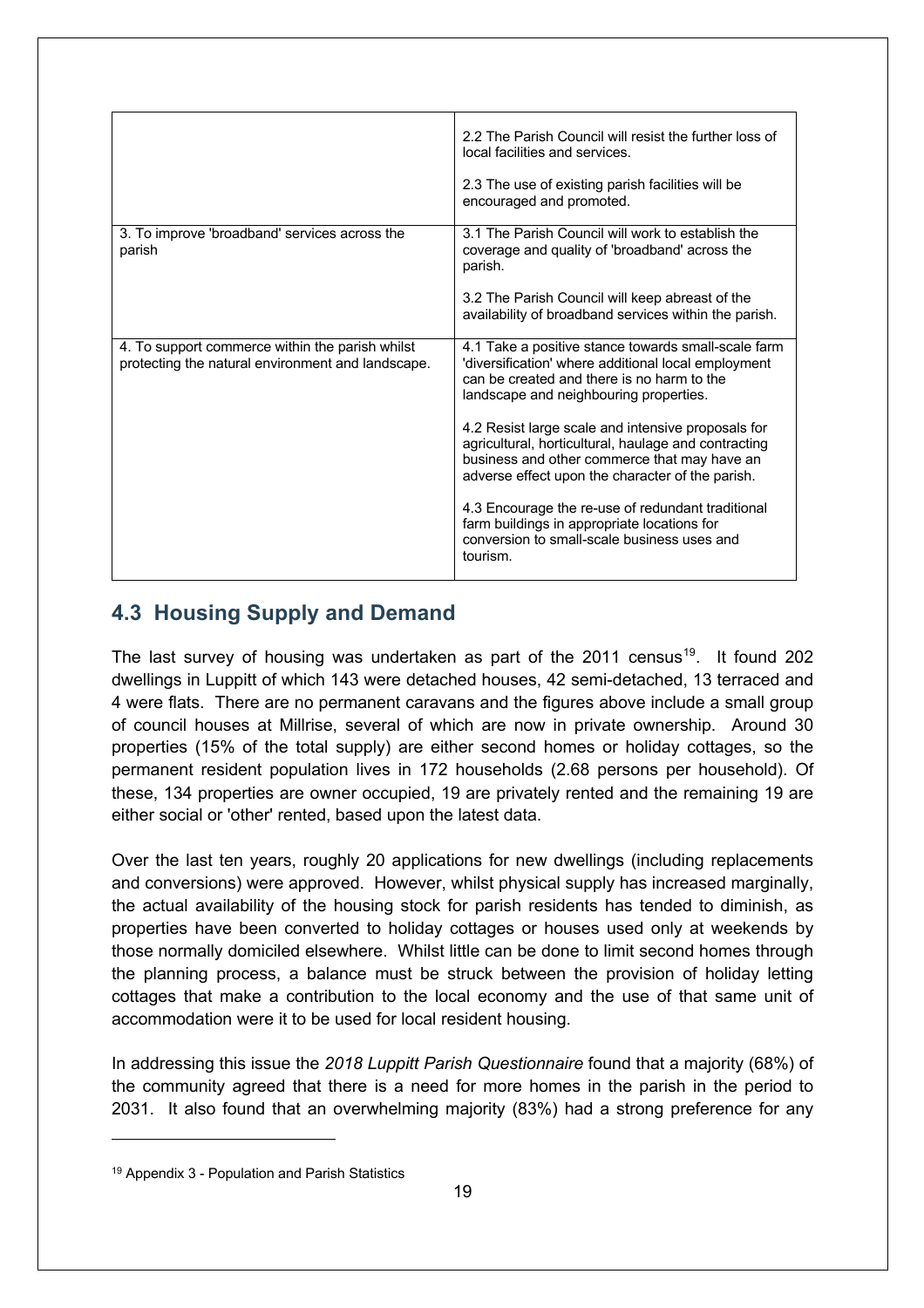|                                                                                                      | 2.2 The Parish Council will resist the further loss of<br>local facilities and services.<br>2.3 The use of existing parish facilities will be<br>encouraged and promoted.                                      |
|------------------------------------------------------------------------------------------------------|----------------------------------------------------------------------------------------------------------------------------------------------------------------------------------------------------------------|
| 3. To improve 'broadband' services across the<br>parish                                              | 3.1 The Parish Council will work to establish the<br>coverage and quality of 'broadband' across the<br>parish.<br>3.2 The Parish Council will keep abreast of the                                              |
|                                                                                                      | availability of broadband services within the parish.                                                                                                                                                          |
| 4. To support commerce within the parish whilst<br>protecting the natural environment and landscape. | 4.1 Take a positive stance towards small-scale farm<br>'diversification' where additional local employment<br>can be created and there is no harm to the<br>landscape and neighbouring properties.             |
|                                                                                                      | 4.2 Resist large scale and intensive proposals for<br>agricultural, horticultural, haulage and contracting<br>business and other commerce that may have an<br>adverse effect upon the character of the parish. |
|                                                                                                      | 4.3 Encourage the re-use of redundant traditional<br>farm buildings in appropriate locations for<br>conversion to small-scale business uses and<br>tourism.                                                    |

#### **4.3 Housing Supply and Demand**

The last survey of housing was undertaken as part of the 2011 census<sup>19</sup>. It found 202 dwellings in Luppitt of which 143 were detached houses, 42 semi-detached, 13 terraced and 4 were flats. There are no permanent caravans and the figures above include a small group of council houses at Millrise, several of which are now in private ownership. Around 30 properties (15% of the total supply) are either second homes or holiday cottages, so the permanent resident population lives in 172 households (2.68 persons per household). Of these, 134 properties are owner occupied, 19 are privately rented and the remaining 19 are either social or 'other' rented, based upon the latest data.

Over the last ten years, roughly 20 applications for new dwellings (including replacements and conversions) were approved. However, whilst physical supply has increased marginally, the actual availability of the housing stock for parish residents has tended to diminish, as properties have been converted to holiday cottages or houses used only at weekends by those normally domiciled elsewhere. Whilst little can be done to limit second homes through the planning process, a balance must be struck between the provision of holiday letting cottages that make a contribution to the local economy and the use of that same unit of accommodation were it to be used for local resident housing.

In addressing this issue the *2018 Luppitt Parish Questionnaire* found that a majority (68%) of the community agreed that there is a need for more homes in the parish in the period to 2031. It also found that an overwhelming majority (83%) had a strong preference for any

<sup>19</sup> Appendix 3 - Population and Parish Statistics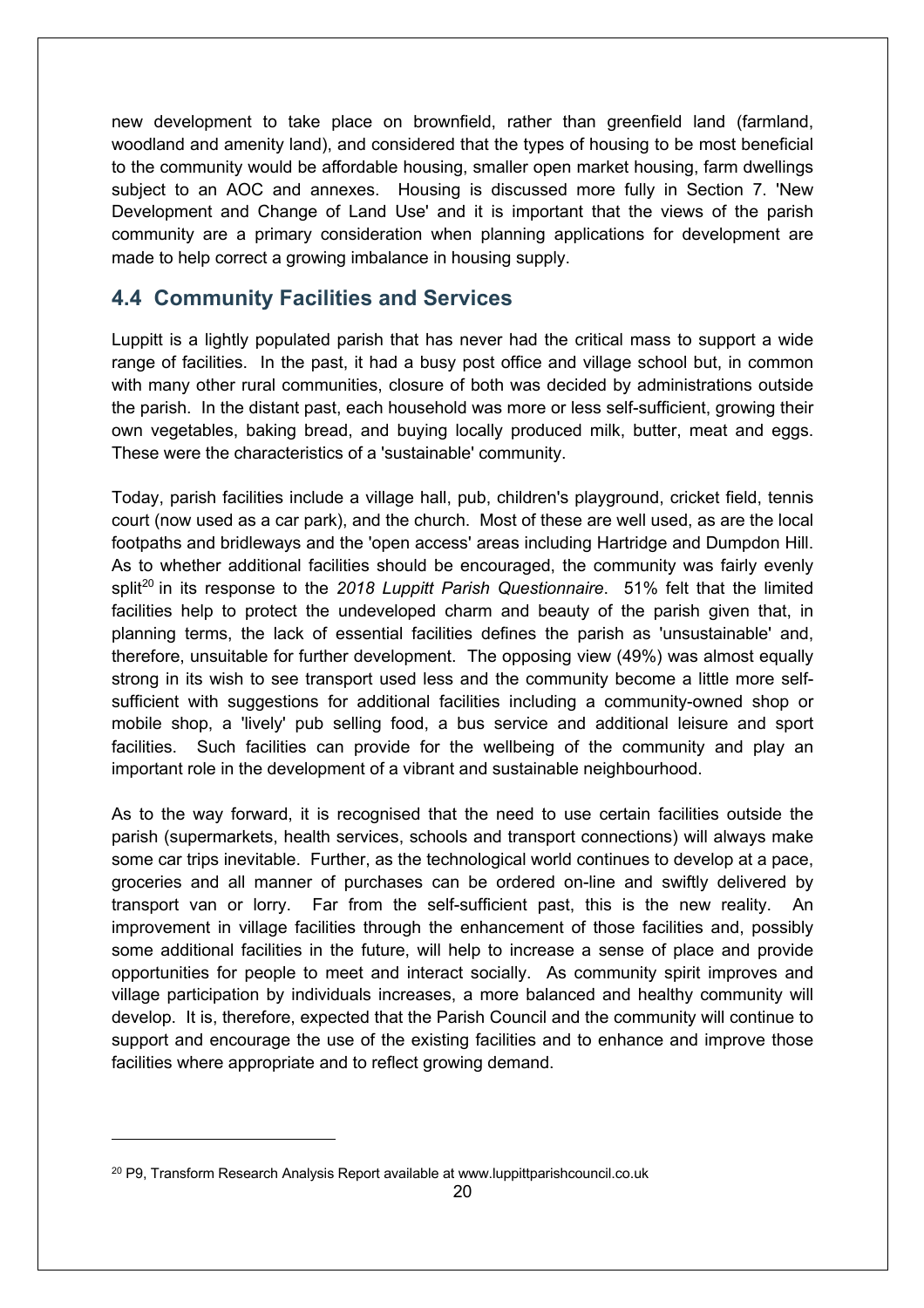new development to take place on brownfield, rather than greenfield land (farmland, woodland and amenity land), and considered that the types of housing to be most beneficial to the community would be affordable housing, smaller open market housing, farm dwellings subject to an AOC and annexes. Housing is discussed more fully in Section 7. 'New Development and Change of Land Use' and it is important that the views of the parish community are a primary consideration when planning applications for development are made to help correct a growing imbalance in housing supply.

#### **4.4 Community Facilities and Services**

Luppitt is a lightly populated parish that has never had the critical mass to support a wide range of facilities. In the past, it had a busy post office and village school but, in common with many other rural communities, closure of both was decided by administrations outside the parish. In the distant past, each household was more or less self-sufficient, growing their own vegetables, baking bread, and buying locally produced milk, butter, meat and eggs. These were the characteristics of a 'sustainable' community.

Today, parish facilities include a village hall, pub, children's playground, cricket field, tennis court (now used as a car park), and the church. Most of these are well used, as are the local footpaths and bridleways and the 'open access' areas including Hartridge and Dumpdon Hill. As to whether additional facilities should be encouraged, the community was fairly evenly split<sup>20</sup> in its response to the 2018 Luppitt Parish Questionnaire. 51% felt that the limited facilities help to protect the undeveloped charm and beauty of the parish given that, in planning terms, the lack of essential facilities defines the parish as 'unsustainable' and, therefore, unsuitable for further development. The opposing view (49%) was almost equally strong in its wish to see transport used less and the community become a little more selfsufficient with suggestions for additional facilities including a community-owned shop or mobile shop, a 'lively' pub selling food, a bus service and additional leisure and sport facilities. Such facilities can provide for the wellbeing of the community and play an important role in the development of a vibrant and sustainable neighbourhood.

As to the way forward, it is recognised that the need to use certain facilities outside the parish (supermarkets, health services, schools and transport connections) will always make some car trips inevitable. Further, as the technological world continues to develop at a pace, groceries and all manner of purchases can be ordered on-line and swiftly delivered by transport van or lorry. Far from the self-sufficient past, this is the new reality. An improvement in village facilities through the enhancement of those facilities and, possibly some additional facilities in the future, will help to increase a sense of place and provide opportunities for people to meet and interact socially. As community spirit improves and village participation by individuals increases, a more balanced and healthy community will develop. It is, therefore, expected that the Parish Council and the community will continue to support and encourage the use of the existing facilities and to enhance and improve those facilities where appropriate and to reflect growing demand.

<sup>&</sup>lt;sup>20</sup> P9, Transform Research Analysis Report available at www.luppittparishcouncil.co.uk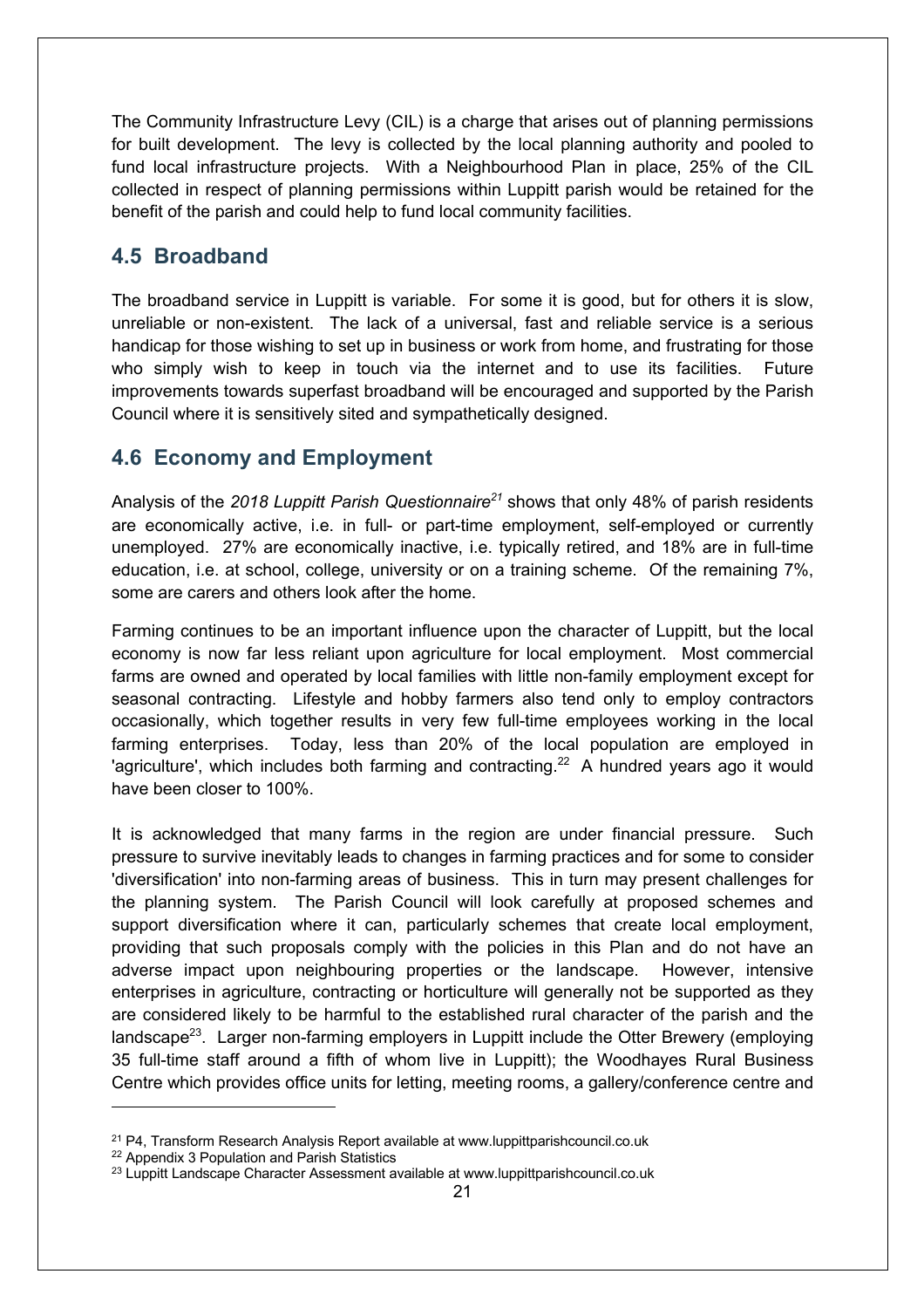The Community Infrastructure Levy (CIL) is a charge that arises out of planning permissions for built development. The levy is collected by the local planning authority and pooled to fund local infrastructure projects. With a Neighbourhood Plan in place, 25% of the CIL collected in respect of planning permissions within Luppitt parish would be retained for the benefit of the parish and could help to fund local community facilities.

#### **4.5 Broadband**

The broadband service in Luppitt is variable. For some it is good, but for others it is slow, unreliable or non-existent. The lack of a universal, fast and reliable service is a serious handicap for those wishing to set up in business or work from home, and frustrating for those who simply wish to keep in touch via the internet and to use its facilities. Future improvements towards superfast broadband will be encouraged and supported by the Parish Council where it is sensitively sited and sympathetically designed.

#### **4.6 Economy and Employment**

Analysis of the *2018 Luppitt Parish Questionnaire21* shows that only 48% of parish residents are economically active, i.e. in full- or part-time employment, self-employed or currently unemployed. 27% are economically inactive, i.e. typically retired, and 18% are in full-time education, i.e. at school, college, university or on a training scheme. Of the remaining 7%, some are carers and others look after the home.

Farming continues to be an important influence upon the character of Luppitt, but the local economy is now far less reliant upon agriculture for local employment. Most commercial farms are owned and operated by local families with little non-family employment except for seasonal contracting. Lifestyle and hobby farmers also tend only to employ contractors occasionally, which together results in very few full-time employees working in the local farming enterprises. Today, less than 20% of the local population are employed in 'agriculture', which includes both farming and contracting.<sup>22</sup> A hundred years ago it would have been closer to 100%.

It is acknowledged that many farms in the region are under financial pressure. Such pressure to survive inevitably leads to changes in farming practices and for some to consider 'diversification' into non-farming areas of business. This in turn may present challenges for the planning system. The Parish Council will look carefully at proposed schemes and support diversification where it can, particularly schemes that create local employment, providing that such proposals comply with the policies in this Plan and do not have an adverse impact upon neighbouring properties or the landscape. However, intensive enterprises in agriculture, contracting or horticulture will generally not be supported as they are considered likely to be harmful to the established rural character of the parish and the landscape $^{23}$ . Larger non-farming employers in Luppitt include the Otter Brewery (employing 35 full-time staff around a fifth of whom live in Luppitt); the Woodhayes Rural Business Centre which provides office units for letting, meeting rooms, a gallery/conference centre and

<sup>&</sup>lt;sup>21</sup> P4, Transform Research Analysis Report available at www.luppittparishcouncil.co.uk

<sup>22</sup> Appendix 3 Population and Parish Statistics

<sup>&</sup>lt;sup>23</sup> Luppitt Landscape Character Assessment available at www.luppittparishcouncil.co.uk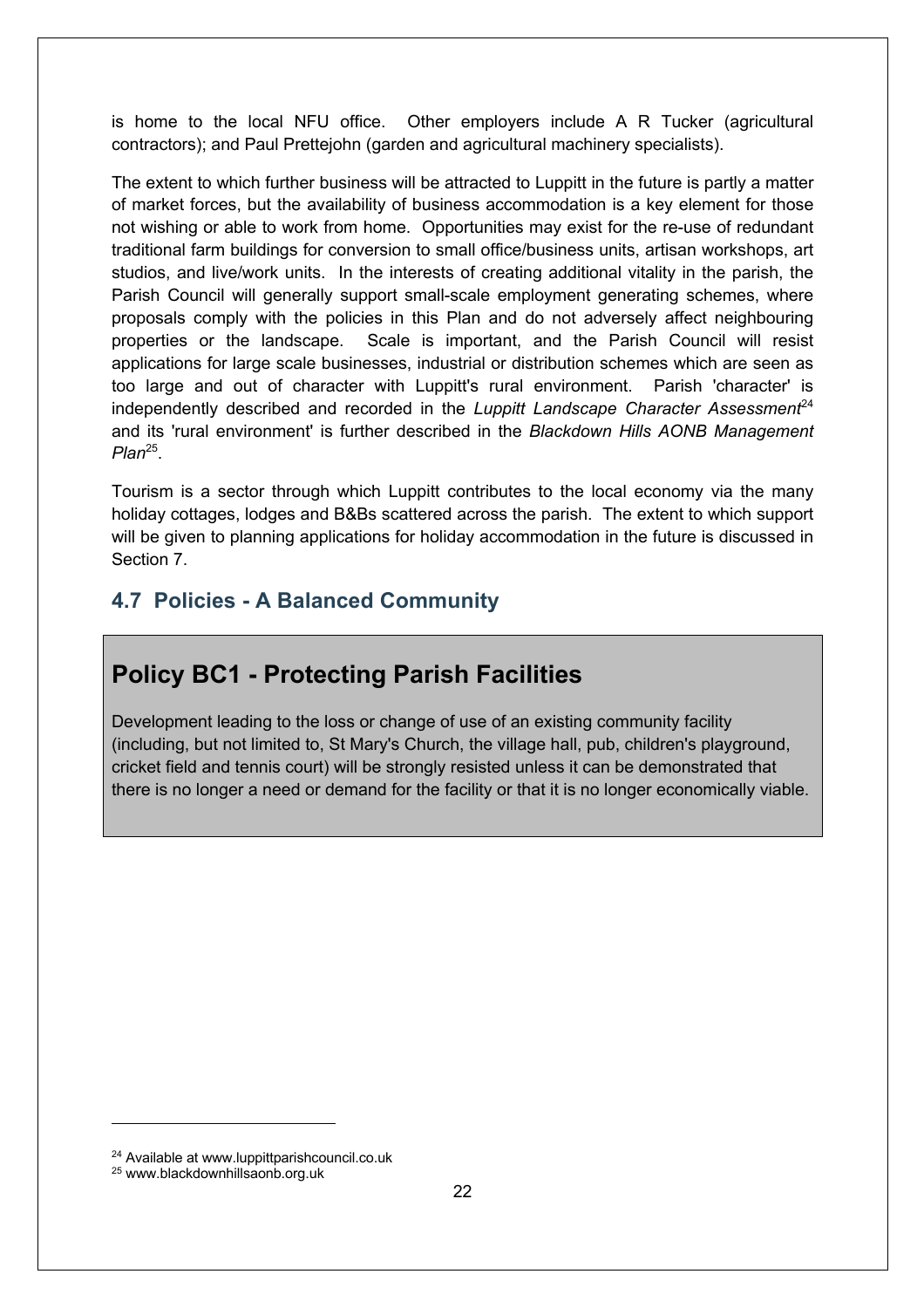is home to the local NFU office. Other employers include A R Tucker (agricultural contractors); and Paul Prettejohn (garden and agricultural machinery specialists).

The extent to which further business will be attracted to Luppitt in the future is partly a matter of market forces, but the availability of business accommodation is a key element for those not wishing or able to work from home. Opportunities may exist for the re-use of redundant traditional farm buildings for conversion to small office/business units, artisan workshops, art studios, and live/work units. In the interests of creating additional vitality in the parish, the Parish Council will generally support small-scale employment generating schemes, where proposals comply with the policies in this Plan and do not adversely affect neighbouring properties or the landscape. Scale is important, and the Parish Council will resist applications for large scale businesses, industrial or distribution schemes which are seen as too large and out of character with Luppitt's rural environment. Parish 'character' is independently described and recorded in the *Luppitt Landscape Character Assessment*<sup>24</sup> and its 'rural environment' is further described in the *Blackdown Hills AONB Management Plan*25.

Tourism is a sector through which Luppitt contributes to the local economy via the many holiday cottages, lodges and B&Bs scattered across the parish. The extent to which support will be given to planning applications for holiday accommodation in the future is discussed in Section 7.

#### **4.7 Policies - A Balanced Community**

### **Policy BC1 - Protecting Parish Facilities**

Development leading to the loss or change of use of an existing community facility (including, but not limited to, St Mary's Church, the village hall, pub, children's playground, cricket field and tennis court) will be strongly resisted unless it can be demonstrated that there is no longer a need or demand for the facility or that it is no longer economically viable.

<sup>24</sup> Available at www.luppittparishcouncil.co.uk

<sup>25</sup> www.blackdownhillsaonb.org.uk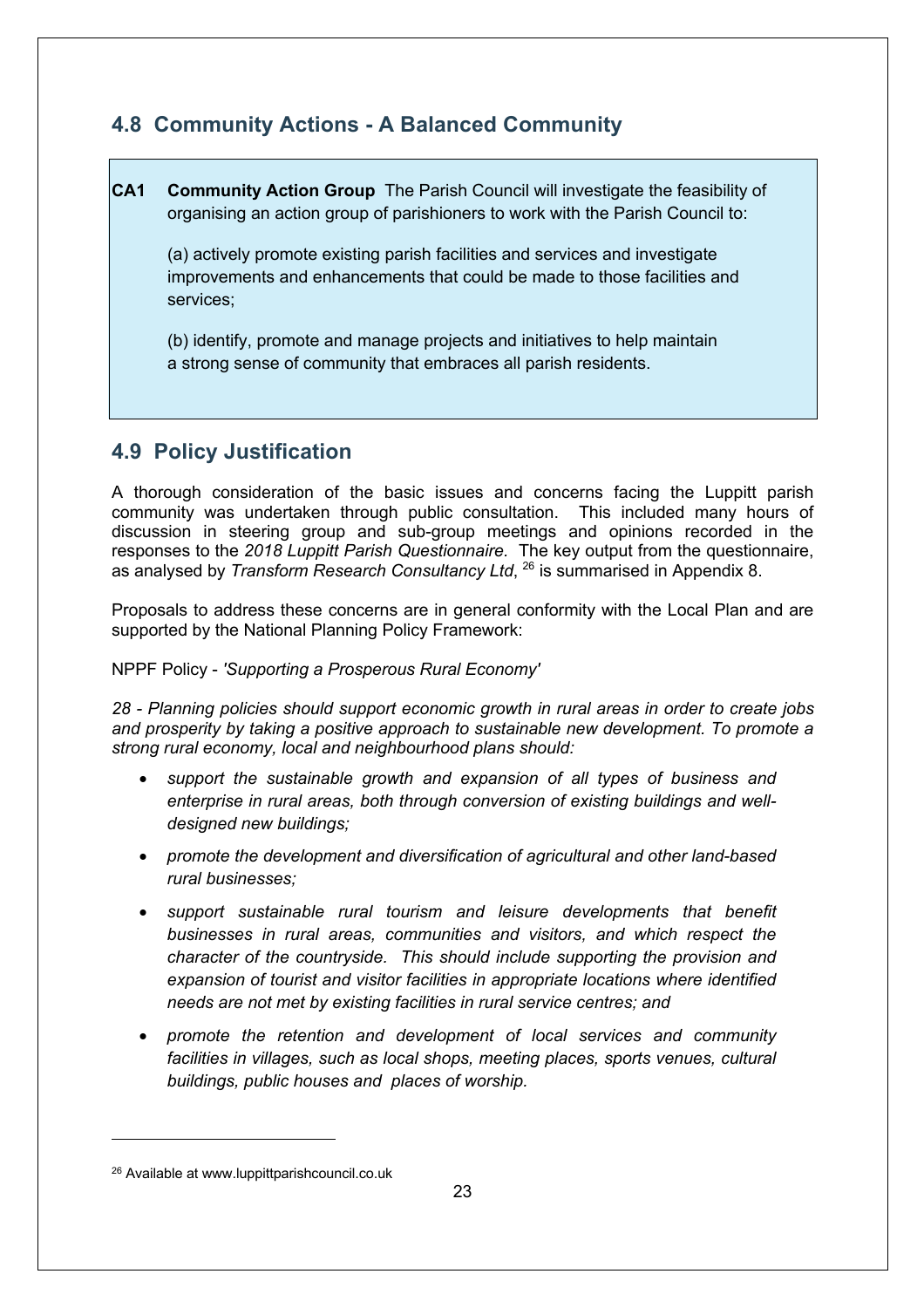#### **4.8 Community Actions - A Balanced Community**

**CA1 Community Action Group** The Parish Council will investigate the feasibility of organising an action group of parishioners to work with the Parish Council to:

(a) actively promote existing parish facilities and services and investigate improvements and enhancements that could be made to those facilities and services;

(b) identify, promote and manage projects and initiatives to help maintain a strong sense of community that embraces all parish residents.

#### **4.9 Policy Justification**

A thorough consideration of the basic issues and concerns facing the Luppitt parish community was undertaken through public consultation. This included many hours of discussion in steering group and sub-group meetings and opinions recorded in the responses to the *2018 Luppitt Parish Questionnaire.* The key output from the questionnaire, as analysed by *Transform Research Consultancy Ltd*, 26 is summarised in Appendix 8.

Proposals to address these concerns are in general conformity with the Local Plan and are supported by the National Planning Policy Framework:

#### NPPF Policy - *'Supporting a Prosperous Rural Economy'*

*28 - Planning policies should support economic growth in rural areas in order to create jobs and prosperity by taking a positive approach to sustainable new development. To promote a strong rural economy, local and neighbourhood plans should:*

- *support the sustainable growth and expansion of all types of business and enterprise in rural areas, both through conversion of existing buildings and welldesigned new buildings;*
- *promote the development and diversification of agricultural and other land-based rural businesses;*
- *support sustainable rural tourism and leisure developments that benefit businesses in rural areas, communities and visitors, and which respect the character of the countryside. This should include supporting the provision and expansion of tourist and visitor facilities in appropriate locations where identified needs are not met by existing facilities in rural service centres; and*
- *promote the retention and development of local services and community*  facilities in villages, such as local shops, meeting places, sports venues, cultural *buildings, public houses and places of worship.*

<sup>26</sup> Available at www.luppittparishcouncil.co.uk